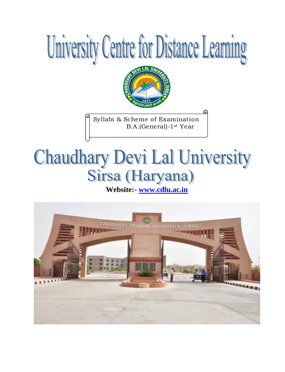



Syllabi & Scheme of Examination B.A.(General)-1st Year

# **Chaudhary Devi Lal University**

**Website:- [www.cdlu.ac.in](http://www.cdlu.ac.in/)** 

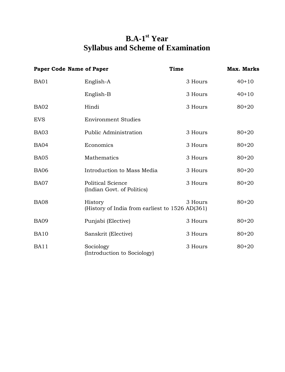# **B.A-1 st Year Syllabus and Scheme of Examination**

| <b>Paper Code Name of Paper</b> |                                                            | <b>Time</b> | <b>Max. Marks</b> |
|---------------------------------|------------------------------------------------------------|-------------|-------------------|
| BA01                            | English-A                                                  | 3 Hours     | $40+10$           |
|                                 | English-B                                                  | 3 Hours     | $40+10$           |
| BA02                            | Hindi                                                      | 3 Hours     | $80 + 20$         |
| <b>EVS</b>                      | <b>Environment Studies</b>                                 |             |                   |
| BA03                            | Public Administration                                      | 3 Hours     | $80 + 20$         |
| <b>BA04</b>                     | Economics                                                  | 3 Hours     | $80 + 20$         |
| <b>BA05</b>                     | Mathematics                                                | 3 Hours     | $80 + 20$         |
| <b>BA06</b>                     | Introduction to Mass Media                                 | 3 Hours     | $80 + 20$         |
| BA07                            | <b>Political Science</b><br>(Indian Govt. of Politics)     | 3 Hours     | $80 + 20$         |
| <b>BA08</b>                     | History<br>(History of India from earliest to 1526 AD(361) | 3 Hours     | $80 + 20$         |
| <b>BA09</b>                     | Punjabi (Elective)                                         | 3 Hours     | $80 + 20$         |
| <b>BA10</b>                     | Sanskrit (Elective)                                        | 3 Hours     | $80 + 20$         |
| <b>BA11</b>                     | Sociology<br>(Introduction to Sociology)                   | 3 Hours     | $80 + 20$         |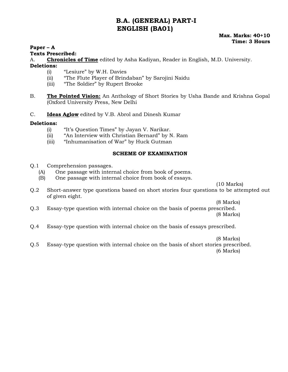# **B.A. (GENERAL) PART-I ENGLISH (BA01)**

#### **Paper – A**

#### **Texts Prescribed:**

A. **Chronicles of Time** edited by Asha Kadiyan, Reader in English, M.D. University. **Deletions:** 

- (i) "Lesiure" by W.H. Davies
- (ii) "The Flute Player of Brindaban" by Sarojini Naidu
- (iii) "The Soldier" by Rupert Brooke
- B. **The Pointed Vision:** An Anthology of Short Stories by Usha Bande and Krishna Gopal (Oxford University Press, New Delhi
- C. **Ideas Aglow** edited by V.B. Abrol and Dinesh Kumar

#### **Deletions:**

- (i) "It"s Question Times" by Jayan V. Narikar.
- (ii) "An Interview with Christian Bernard" by N. Ram
- (iii) "Inhumanisation of War" by Huck Gutman

#### **SCHEME OF EXAMINATION**

- Q.1 Comprehension passages.
	- (A) One passage with internal choice from book of poems.
	- (B) One passage with internal choice from book of essays.

(10 Marks)

Q.2 Short-answer type questions based on short stories four questions to be attempted out of given eight.

(8 Marks)

- Q.3 Essay-type question with internal choice on the basis of poems prescribed. (8 Marks)
- Q.4 Essay-type question with internal choice on the basis of essays prescribed.

(8 Marks)

Q.5 Essay-type question with internal choice on the basis of short stories prescribed. (6 Marks)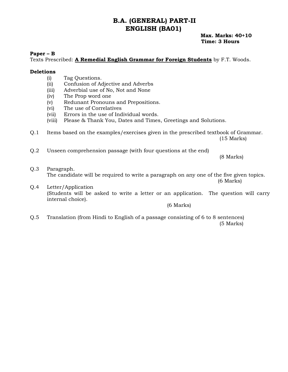## **B.A. (GENERAL) PART-II ENGLISH (BA01)**

#### **Max. Marks: 40+10 Time: 3 Hours**

#### **Paper – B**

Texts Prescribed: **A Remedial English Grammar for Foreign Students** by F.T. Woods.

#### **Deletions**

- (i) Tag Questions.
- (ii) Confusion of Adjective and Adverbs
- (iii) Adverbial use of No, Not and None
- (iv) The Prop word one
- (v) Redunant Pronouns and Prepositions.
- (vi) The use of Correlatives
- (vii) Errors in the use of Individual words.
- (viii) Please & Thank You, Dates and Times, Greetings and Solutions.
- Q.1 Items based on the examples/exercises given in the prescribed textbook of Grammar. (15 Marks)
- Q.2 Unseen comprehension passage (with four questions at the end)

(8 Marks)

- Q.3 Paragraph. The candidate will be required to write a paragraph on any one of the five given topics. (6 Marks) Q.4 Letter/Application
- (Students will be asked to write a letter or an application. The question will carry internal choice).

(6 Marks)

Q.5 Translation (from Hindi to English of a passage consisting of 6 to 8 sentences) (5 Marks)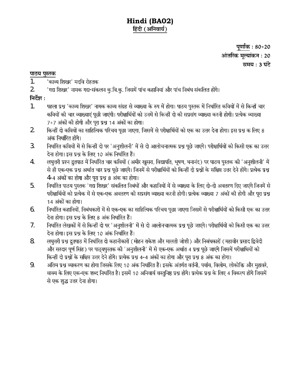# **Hindi (BA02)** हिंदी (अनिवार्य)

पूर्णांक : 80+20 आंतरिक मूल्यांकन : 20 समय : 3 घंटे

#### पाठय पुस्तक

- 'काव्य शिखर' मदवि रोहतक  $\frac{1}{2}$ .
- 2. 'गद्य शिखर' नामक गद्य-संकलन कु.वि.कु. जिसमें पांच कहानियां और पांच निबंध संकलित होंगे।<br>निर्देश :

- पहला प्रश्न 'काव्य शिखर' नामक काव्य संग्रह से व्याख्या के रुप में होगा। पाठय पुस्तक में निर्धारित कवियों में से किन्हों चार 1. कवियों की चार व्याख्याएं पूछी जाएंगी। परीक्षार्थियों को उनमें से किन्हीं दो की सप्रसंग व्याख्या करनी होगी। प्रत्येक व्याख्या 7+7 अंकों की होगी और पुरा प्रश्न 14 अंकों का होगा।
- किन्हीं दो कवियों का साहित्यिक परिचय पूछा जाएगा, जिसमें से परीक्षार्थियों को एक का उत्तर देना होगा। इस प्रश्न क लिए 8 2. अंक निर्धारित होंगे।
- निर्धारित कवियों में से किन्हीं दो पर 'अनुशीलनी' में से दो आलोचनात्मक प्रश्न पूछे जाएंगे। परीक्षार्थियों को किसी एक का उत्तर 3. देना होगा। इस प्रश्न के लिए 10 अंक निर्धारित हैं।
- लघुत्तरी प्रश्न द्रुतपाठ में निर्धारित चार कवियों (अमीर खुसरा, विद्यापति, भूषण, घनानंद) पर पाठय पुस्तक की 'अनुशीलनी' में 4. से ही एक-एक प्रश्न अर्थात चार प्रश्न पूछे जाएंगे। जिनमें से परीक्षार्थियों को किन्हीं दो प्रश्नों के संक्षिप्त उत्तर देने होंगे। प्रत्येक प्रश्न 4-4 अंकों का होगा और पूरा प्रश्न 8 अंक का होगा।
- 5. निर्धारित पाठय पुस्तक 'गद्य शिखर' संकलित निबंधों और कहानियों में से व्याख्या के लिए दो-दो अवतरण दिए जाएंगे जिनमें से परीक्षार्थियों को प्रत्येक में से एक-एक अवतरण की सप्रसंग व्याख्या करनी होगी। प्रत्येक व्याख्या 7 अंकों की होगी और पुरा प्रश्न 14 अंकों का होगा।
- 6. निर्धारित कहानियों, निबंधकारों में से एक-एक का साहित्यिक परिचय पूछा जाएगा जिसमें से परीक्षार्थियों को किसी एक का उत्तर<br>देना होगा। इस प्रश्न के लिए 8 अंक निर्धारित हैं।
- निर्धारित लेखकों में से किन्हीं दो पर 'अनुशीलनी' में से दो आलोनचात्मक प्रश्न पूछे जाएंगे। परीक्षार्थियों को किसी एक का उत्तर 7. देना होगा। इस प्रश्न के लिए 10 अंक निर्धारित हैं।
- लघुत्तरी प्रश्न द्रुतपाठ में निर्धारित दो कहानीकारों (मोहन राकेश और मालती जोशी) और निबंधकारों (महावीर प्रसाद द्विवेदी 8. और सरदार पूर्ण सिंह) पर पाठ्यपुस्तक की 'अनुशीलनी' में से एक-एक अर्थात 4 प्रश्न पूछे जाएंगे जिसमें परीक्षाथियों को किन्हीं दो प्रश्नों के सक्षिप्त उत्तर देने होंगे। प्रत्येक प्रश्न 4-4 अंकों का होगा और पूरा प्रश्न 8 अंक का होगा।<br>अंतिम प्रश्न व्याकरण का होगा जिसके लिए 10 अंक निर्धारित हैं। इसके अंतर्गत वर्तनी. पर्याय. विलोम. लोकोक्ति औ
- 9. वाक्य के लिए एक-एक शब्द निर्धारित है। इसमें 10 अनिवार्य वस्तुनिष्ठ प्रश्न होंगे। प्रत्येक प्रश्न के लिए 4 विकल्प होंगे जिसमें<br>से एक शुद्ध उत्तर देना होगा।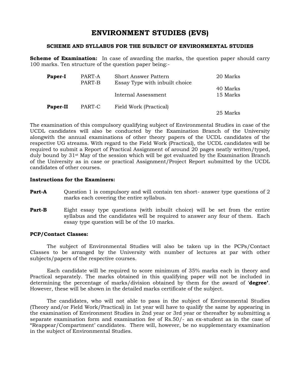# **ENVIRONMENT STUDIES (EVS)**

#### **SCHEME AND SYLLABUS FOR THE SUBJECT OF ENVIRONMENTAL STUDIES**

**Scheme of Examination:** In case of awarding the marks, the question paper should carry 100 marks. Ten structure of the question paper being:-

| Paper-I  | PART-A<br>PART-B | <b>Short Answer Pattern</b><br>Essay Type with inbuilt choice | 20 Marks             |
|----------|------------------|---------------------------------------------------------------|----------------------|
|          |                  | Internal Assessment                                           | 40 Marks<br>15 Marks |
| Paper-II | PART-C           | Field Work (Practical)                                        | 25 Marks             |

The examination of this compulsory qualifying subject of Environmental Studies in case of the UCDL candidates will also be conducted by the Examination Branch of the University alongwith the annual examinations of other theory papers of the UCDL candidates of the respective UG streams. With regard to the Field Work (Practical), the UCDL candidates will be required to submit a Report of Practical Assignment of around 20 pages neatly written/typed, duly bound by 31st May of the session which will be got evaluated by the Examination Branch of the University as in case or practical Assignment/Project Report submitted by the UCDL candidates of other courses.

#### **Instructions for the Examiners:**

- **Part-A** Question 1 is compulsory and will contain ten short- answer type questions of 2 marks each covering the entire syllabus.
- **Part-B** Eight essay type questions (with inbuilt choice) will be set from the entire syllabus and the candidates will be required to answer any four of them. Each essay type question will be of the 10 marks.

#### **PCP/Contact Classes:**

The subject of Environmental Studies will also be taken up in the PCPs/Contact Classes to be arranged by the University with number of lectures at par with other subjects/papers of the respective courses.

Each candidate will be required to score minimum of 35% marks each in theory and Practical separately. The marks obtained in this qualifying paper will not be included in determining the percentage of marks/division obtained by them for the award of "**degree'**. However, these will be shown in the detailed marks certificate of the subject.

The candidates, who will not able to pass in the subject of Environmental Studies (Theory and/or Field Work/Practical) in 1st year will have to qualify the same by appearing in the examination of Environment Studies in 2nd year or 3rd year or thereafter by submitting a separate examination form and examination fee of Rs.50/- an ex-student as in the case of "Reappear/Compartment" candidates. There will, however, be no supplementary examination in the subject of Environmental Studies.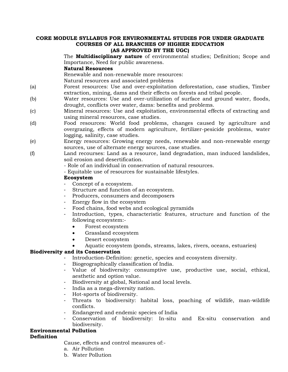# **CORE MODULE SYLLABUS FOR ENVIRONMENTAL STUDIES FOR UNDER GRADUATE COURSES OF ALL BRANCHES OF HIGHER EDUCATION**

#### **(AS APPROVED BY THE UGC)**

The **Multidisciplinary nature** of environmental studies; Definition; Scope and Importance, Need for public awareness.

#### **Natural Resources**

Renewable and non-renewable more resources:

Natural resources and associated problems

- (a) Forest resources: Use and over-exploitation deforestation, case studies, Timber extraction, mining, dams and their effects on forests and tribal people.
- (b) Water resources: Use and over-utilization of surface and ground water, floods, drought, conflicts over water, dams: benefits and problems.
- (c) Mineral resources: Use and exploitation, environmental effects of extracting and using mineral resources, case studies.
- (d) Food resources: World food problems, changes caused by agriculture and overgrazing, effects of modern agriculture, fertilizer-pesicide problems, water logging, salinity, case studies.
- (e) Energy resources: Growing energy needs, renewable and non-renewable energy sources, use of alternate energy sources, case studies.
- (f) Land recourses: Land as a resource, land degradation, man induced landslides, soil erosion and desertification.

- Role of an individual in conservation of natural resources.

- Equitable use of resources for sustainable lifestyles.

#### **Ecosystem**

- Concept of a ecosystem.
- Structure and function of an ecosystem.
- Producers, consumers and decomposers
- Energy flow in the ecosystem
- Food chains, food webs and ecological pyramids
- Introduction, types, characteristic features, structure and function of the following ecosystem:-
	- Forest ecosystem
	- Grassland ecosystem
	- Desert ecosystem
	- Aquatic ecosystem (ponds, streams, lakes, rivers, oceans, estuaries)

#### **Biodiversity and its Conservation**

- Introduction-Definition: genetic, species and ecosystem diversity.
- Biogeographically classification of India.
- Value of biodiversity: consumptive use, productive use, social, ethical, aesthetic and option value.
- Biodiversity at global, National and local levels.
- India as a mega-diversity nation.
- Hot-sports of biodiversity.
- Threats to biodiversity: habital loss, poaching of wildlife, man-wildlife conflicts.
- Endangered and endemic species of India
- Conservation of biodiversity: In-situ and Ex-situ conservation and biodiversity.

#### **Environmental Pollution**

#### **Definition**

Cause, effects and control measures of:-

- a. Air Pollution
- b. Water Pollution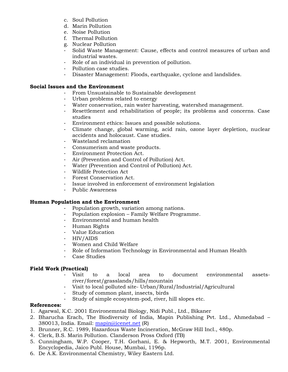- c. Soul Pollution
- d. Marin Pollution
- e. Noise Pollution
- f. Thermal Pollution
- g. Nuclear Pollution
- Solid Waste Management: Cause, effects and control measures of urban and industrial wastes.
- Role of an individual in prevention of pollution.
- Pollution case studies.
- Disaster Management: Floods, earthquake, cyclone and landslides.

#### **Social Issues and the Environment**

- From Unsustainable to Sustainable development
- Urban problems related to energy
- Water conservation, rain water harvesting, watershed management.
- Resettlement and rehabilitation of people; its problems and concerns. Case studies
- Environment ethics: Issues and possible solutions.
- Climate change, global warming, acid rain, ozone layer depletion, nuclear accidents and holocaust. Case studies.
- Wasteland reclamation
- Consumerism and waste products.
- Environment Protection Act.
- Air (Prevention and Control of Pollution) Act.
- Water (Prevention and Control of Pollution) Act.
- Wildlife Protection Act
- Forest Conservation Act.
- Issue involved in enforcement of environment legislation
- Public Awareness

#### **Human Population and the Environment**

- Population growth, variation among nations.
- Population explosion Family Welfare Programme.
- Environmental and human health
- Human Rights
- Value Education
- HIV/AIDS
- Women and Child Welfare
- Role of Information Technology in Environmental and Human Health
- Case Studies

#### **Field Work (Practical)**

- Visit to a local area to document environmental assetsriver/forest/grasslands/hills/mountain
- Visit to local polluted site- Urban/Rural/Industrial/Agricultural
- Study of common plant, insects, birds
- Study of simple ecosystem-pod, river, hill slopes etc.

#### **References:**

- 1. Agarwal, K.C. 2001 Environemntal Biology, Nidi Publ., Ltd., Bikaner
- 2. Bharucha Erach, The Biodiversity of India, Mapin Publishing Pvt. Ltd., Ahmedabad 380013, India. Email: [mapin@icenet.net](mailto:mapin@icenet.net) (R)
- 3. Brunner, R.C. 1989, Hazardous Waste Incineration, McGraw Hill Incl., 480p.
- 4. Clerk, B.S. Marin Pollution. Clanderson Pross Oxford (TB)
- 5. Cunningham, W.P. Cooper, T.H. Gorhani, E. & Hepworth, M.T. 2001, Environmental Encyclopedia, Jaico Publ. House, Mumbai, 1196p.
- 6. De A.K. Environmental Chemistry, Wiley Eastern Ltd.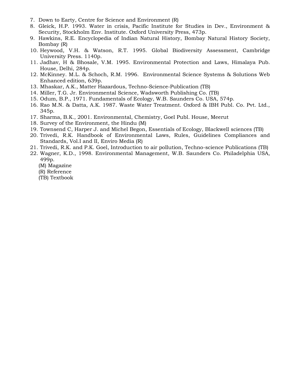- 7. Down to Earty, Centre for Science and Environment (R)
- 8. Gleick, H.P. 1993. Water in crisis, Pacific Institute for Studies in Dev., Environment & Security, Stockholm Env. Institute. Oxford University Press, 473p.
- 9. Hawkins, R.E. Encyclopedia of Indian Natural History, Bombay Natural History Society, Bombay (R)
- 10. Heywood, V.H. & Watson, R.T. 1995. Global Biodiversity Assessment, Cambridge University Press. 1140p.
- 11. Jadhav, H & Bhosale, V.M. 1995. Environmental Protection and Laws, Himalaya Pub. House, Delhi, 284p.
- 12. McKinney. M.L. & Schoch, R.M. 1996. Environmental Science Systems & Solutions Web Enhanced edition, 639p.
- 13. Mhaskar, A.K., Matter Hazardous, Techno-Science-Publication (TB)
- 14. Miller, T.G. Jr. Environmental Science, Wadsworth Publishing Co. (TB)
- 15. Odum, B.P., 1971. Fundamentals of Ecology, W.B. Saunders Co. USA, 574p.
- 16. Rao M.N. & Datta, A.K. 1987. Waste Water Treatment. Oxford & IBH Publ. Co. Pvt. Ltd., 345p.
- 17. Sharma, B.K., 2001. Environmental, Chemistry, Goel Publ. House, Meerut
- 18. Survey of the Environment, the Hindu (M)
- 19. Townsend C, Harper J. and Michel Begon, Essentials of Ecology, Blackwell sciences (TB)
- 20. Trivedi, R.K. Handbook of Environmental Laws, Rules, Guidelines Compliances and Standards, Vol.I and II, Enviro Media (R)
- 21. Trivedi, R.K. and P.K. Goel, Introduction to air pollution, Techno-science Publications (TB)
- 22. Wagner, K.D., 1998. Environmental Management, W.B. Saunders Co. Philadelphia USA, 499p.
	- (M) Magazine
	- (R) Reference
	- (TB) Textbook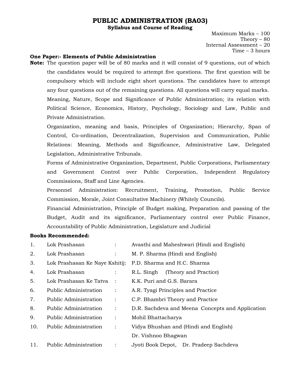## **PUBLIC ADMINISTRATION (BA03)**

**Syllabus and Course of Reading**

Maximum Marks – 100 Theory  $-80$ Internal Assessment – 20 Time – 3 hours

#### **One Paper:- Elements of Public Administration**

**Note:** The question paper will be of 80 marks and it will consist of 9 questions, out of which the candidates would be required to attempt five questions. The first question will be compulsory which will include eight short questions. The candidates have to attempt any four questions out of the remaining questions. All questions will carry equal marks. Meaning, Nature, Scope and Significance of Public Administration; its relation with Political Science, Economics, History, Psychology, Sociology and Law, Public and Private Administration.

Organization, meaning and basis, Principles of Organization; Hierarchy, Span of Control, Co-ordination, Decentralization, Supervision and Communication, Public Relations: Meaning, Methods and Significance, Administrative Law, Delegated Legislation, Administrative Tribunals.

Forms of Administrative Organization, Department, Public Corporations, Parliamentary and Government Control over Public Corporation, Independent Regulatory Commissions, Staff and Line Agencies.

Personnel Administration: Recruitment, Training, Promotion, Public Service Commission, Morale, Joint Consultative Machinery (Whitely Councils).

Financial Administration, Principle of Budget making, Preparation and passing of the Budget, Audit and its significance, Parliamentary control over Public Finance, Accountability of Public Administration, Legislature and Judicial

#### **Books Recommended:**

| 1.  | Lok Prashasan                  |                      | Avasthi and Maheshwari (Hindi and English)       |
|-----|--------------------------------|----------------------|--------------------------------------------------|
| 2.  | Lok Prashasan                  |                      | M. P. Sharma (Hindi and English)                 |
| 3.  | Lok Prashasan Ke Naye Kshitij: |                      | P.D. Sharma and H.C. Sharma                      |
| 4.  | Lok Prashasan                  |                      | R.L. Singh<br>(Theory and Practice)              |
| 5.  | Lok Prashasan Ke Tatva         |                      | K.K. Puri and G.S. Barara                        |
| 6.  | Public Administration          | $\ddot{\phantom{a}}$ | A.R. Tyagi Principles and Practice               |
| 7.  | Public Administration          | $\ddot{\cdot}$       | C.P. Bhambri Theory and Practice                 |
| 8.  | Public Administration          | $\ddot{\phantom{a}}$ | D.R. Sachdeva and Meena Concepts and Application |
| 9.  | Public Administration          | $\ddot{\cdot}$       | Mohil Bhattacharya                               |
| 10. | Public Administration          | $\ddot{\phantom{a}}$ | Vidya Bhushan and (Hindi and English)            |
|     |                                |                      | Dr. Vishnoo Bhagwan                              |
| 11. | <b>Public Administration</b>   |                      | Jyoti Book Depot, Dr. Pradeep Sachdeva           |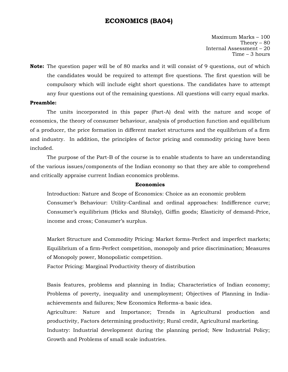#### **ECONOMICS (BA04)**

Maximum Marks – 100 Theory  $-80$ Internal Assessment – 20 Time – 3 hours

**Note:** The question paper will be of 80 marks and it will consist of 9 questions, out of which the candidates would be required to attempt five questions. The first question will be compulsory which will include eight short questions. The candidates have to attempt any four questions out of the remaining questions. All questions will carry equal marks.

#### **Preamble:**

The units incorporated in this paper (Part-A) deal with the nature and scope of economics, the theory of consumer behaviour, analysis of production function and equilibrium of a producer, the price formation in different market structures and the equilibrium of a firm and industry. In addition, the principles of factor pricing and commodity pricing have been included.

The purpose of the Part-B of the course is to enable students to have an understanding of the various issues/components of the Indian economy so that they are able to comprehend and critically appraise current Indian economics problems.

#### **Economics**

Introduction: Nature and Scope of Economics: Choice as an economic problem Consumer"s Behaviour: Utility-Cardinal and ordinal approaches: Indifference curve; Consumer's equilibrium (Hicks and Slutsky), Giffin goods; Elasticity of demand-Price, income and cross; Consumer's surplus.

Market Structure and Commodity Pricing: Market forms-Perfect and imperfect markets; Equilibrium of a firm-Perfect competition, monopoly and price discrimination; Measures of Monopoly power, Monopolistic competition.

Factor Pricing: Marginal Productivity theory of distribution

Basis features, problems and planning in India; Characteristics of Indian economy; Problems of poverty, inequality and unemployment; Objectives of Planning in Indiaachievements and failures; New Economics Reforms-a basic idea.

Agriculture: Nature and Importance; Trends in Agricultural production and productivity, Factors determining productivity; Rural credit, Agricultural marketing.

Industry: Industrial development during the planning period; New Industrial Policy; Growth and Problems of small scale industries.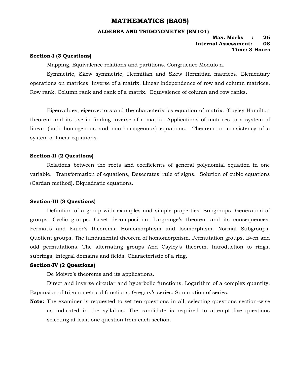#### **MATHEMATICS (BA05)**

#### **ALGEBRA AND TRIGONOMETRY (BM101)**

#### **Max. Marks : 26 Internal Assessment: 08 Time: 3 Hours**

#### **Section-I (3 Questions)**

Mapping, Equivalence relations and partitions. Congruence Modulo n.

Symmetric, Skew symmetric, Hermitian and Skew Hermitian matrices. Elementary operations on matrices. Inverse of a matrix. Linear independence of row and column matrices, Row rank, Column rank and rank of a matrix. Equivalence of column and row ranks.

Eigenvalues, eigenvectors and the characteristics equation of matrix. (Cayley Hamilton theorem and its use in finding inverse of a matrix. Applications of matrices to a system of linear (both homogenous and non-homogenous) equations. Theorem on consistency of a system of linear equations.

#### **Section-II (2 Questions)**

Relations between the roots and coefficients of general polynomial equation in one variable. Transformation of equations, Desecrates' rule of signs. Solution of cubic equations (Cardan method). Biquadratic equations.

#### **Section-III (3 Questions)**

Definition of a group with examples and simple properties. Subgroups. Generation of groups. Cyclic groups. Coset decomposition. Largrange's theorem and its consequences. Fermat's and Euler's theorems. Homomorphism and Isomorphism. Normal Subgroups. Quotient groups. The fundamental theorem of homomorphism. Permutation groups. Even and odd permutations. The alternating groups And Cayley"s theorem. Introduction to rings, subrings, integral domains and fields. Characteristic of a ring.

#### **Section-IV (2 Questions)**

De Moivre's theorems and its applications.

Direct and inverse circular and hyperbolic functions. Logarithm of a complex quantity. Expansion of trigonometrical functions. Gregory"s series. Summation of series.

**Note:** The examiner is requested to set ten questions in all, selecting questions section-wise as indicated in the syllabus. The candidate is required to attempt five questions selecting at least one question from each section.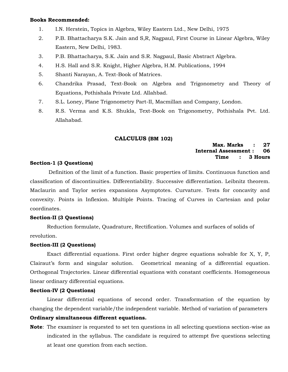#### **Books Recommended:**

- 1. I.N. Herstein, Topics in Algebra, Wiley Eastern Ltd., New Delhi, 1975
- 2. P.B. Bhattacharya S.K. Jain and S,R, Nagpaul, First Course in Linear Algebra, Wiley Eastern, New Delhi, 1983.
- 3. P.B. Bhattacharya, S.K. Jain and S.R. Nagpaul, Basic Abstract Algebra.
- 4. H.S. Hall and S.R. Knight, Higher Algebra, H.M. Publications, 1994
- 5. Shanti Narayan, A. Text-Book of Matrices.
- 6. Chandrika Prasad, Text-Book on Algebra and Trigonometry and Theory of Equations, Pothishala Private Ltd. Allahbad.
- 7. S.L. Loney, Plane Trigonometry Part-II, Macmillan and Company, London.
- 8. R.S. Verma and K.S. Shukla, Text-Book on Trigonometry, Pothishala Pvt. Ltd. Allahabad.

#### **CALCULUS (BM 102)**

#### **Max. Marks : 27 Internal Assessment : 06 Time : 3 Hours**

#### **Section-1 (3 Questions)**

Definition of the limit of a function. Basic properties of limits. Continuous function and classification of discontinuities. Differentiability. Successive differentiation. Leibnitz theorem. Maclaurin and Taylor series expansions Asymptotes. Curvature. Tests for concavity and convexity. Points in Inflexion. Multiple Points. Tracing of Curves in Cartesian and polar coordinates.

#### **Section-II (3 Questions)**

Reduction formulate, Quadrature, Rectification. Volumes and surfaces of solids of revolution.

#### **Section-III (2 Questions)**

Exact differential equations. First order higher degree equations solvable for X, Y, P, Clairaut's form and singular solution. Geometrical meaning of a differential equation. Orthogonal Trajectories. Linear differential equations with constant coefficients. Homogeneous linear ordinary differential equations.

#### **Section-IV (2 Questions)**

Linear differential equations of second order. Transformation of the equation by changing the dependent variable/the independent variable. Method of variation of parameters **Ordinary simultaneous different equations.** 

**Note**: The examiner is requested to set ten questions in all selecting questions section-wise as indicated in the syllabus. The candidate is required to attempt five questions selecting at least one question from each section.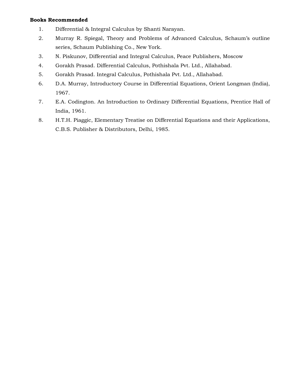#### **Books Recommended**

- 1. Differential & Integral Calculus by Shanti Narayan.
- 2. Murray R. Spiegal, Theory and Problems of Advanced Calculus, Schaum"s outline series, Schaum Publishing Co., New York.
- 3. N. Piskunov, Differential and Integral Calculus, Peace Publishers, Moscow
- 4. Gorakh Prasad. Differential Calculus, Pothishala Pvt. Ltd., Allahabad.
- 5. Gorakh Prasad. Integral Calculus, Pothishala Pvt. Ltd., Allahabad.
- 6. D.A. Murray, Introductory Course in Differential Equations, Orient Longman (India), 1967.
- 7. E.A. Codington. An Introduction to Ordinary Differential Equations, Prentice Hall of India, 1961.
- 8. H.T.H. Piaggic, Elementary Treatise on Differential Equations and their Applications, C.B.S. Publisher & Distributors, Delhi, 1985.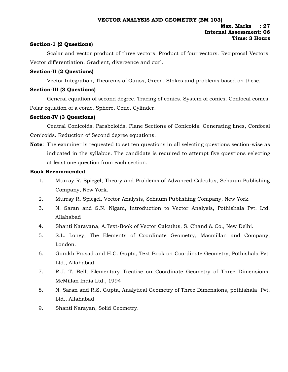#### **Section-1 (2 Questions)**

Scalar and vector product of three vectors. Product of four vectors. Reciprocal Vectors. Vector differentiation. Gradient, divergence and curl.

#### **Section-II (2 Questions)**

Vector Integration, Theorems of Gauss, Green, Stokes and problems based on these.

#### **Section-III (3 Questions)**

General equation of second degree. Tracing of conics. System of conics. Confocal conics. Polar equation of a conic. Sphere, Cone, Cylinder.

#### **Section-IV (3 Questions)**

Central Conicoids. Paraboloids. Plane Sections of Conicoids. Generating lines, Confocal Conicoids. Reduction of Second degree equations.

**Note**: The examiner is requested to set ten questions in all selecting questions section-wise as indicated in the syllabus. The candidate is required to attempt five questions selecting at least one question from each section.

#### **Book Recommended**

- 1. Murray R. Spiegel, Theory and Problems of Advanced Calculus, Schaum Publishing Company, New York.
- 2. Murray R. Spiegel, Vector Analysis, Schaum Publishing Company, New York
- 3. N. Saran and S.N. Nigam, Introduction to Vector Analysis, Pothishala Pvt. Ltd. Allahabad
- 4. Shanti Narayana, A.Text-Book of Vector Calculus, S. Chand & Co., New Delhi.
- 5. S.L. Loney, The Elements of Coordinate Geometry, Macmillan and Company, London.
- 6. Gorakh Prasad and H.C. Gupta, Text Book on Coordinate Geometry, Pothishala Pvt. Ltd., Allahabad.
- 7. R.J. T. Bell, Elementary Treatise on Coordinate Geometry of Three Dimensions, McMillan India Ltd., 1994
- 8. N. Saran and R.S. Gupta, Analytical Geometry of Three Dimensions, pothishala Pvt. Ltd., Allahabad
- 9. Shanti Narayan, Solid Geometry.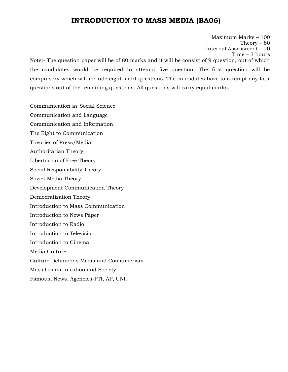# **INTRODUCTION TO MASS MEDIA (BA06)**

Maximum Marks – 100 Theory  $-80$ Internal Assessment – 20 Time – 3 hours Note:- The question paper will be of 80 marks and it will be consist of 9 question, out of which the candidates would be required to attempt five question. The first question will be compulsory which will include eight short questions. The candidates have to attempt any four questions out of the remaining questions. All questions will carry equal marks.

Communication as Social Science Communication and Language Communication and Information The Right to Communication Theories of Press/Media Authoritarian Theory Libertarian of Free Theory Social Responsibility Theory Soviet Media Theory Development Communication Theory Democratization Theory Introduction to Mass Communication Introduction to News Paper Introduction to Radio Introduction to Television Introduction to Cinema Media Culture Culture Definitions Media and Consumerism Mass Communication and Society Famous, News, Agencies-PTI, AP, UNI.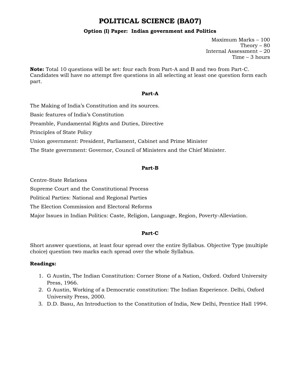# **POLITICAL SCIENCE (BA07)**

#### **Option (I) Paper: Indian government and Politics**

Maximum Marks – 100 Theory – 80 Internal Assessment – 20 Time – 3 hours

**Note:** Total 10 questions will be set: four each from Part-A and B and two from Part-C. Candidates will have no attempt five questions in all selecting at least one question form each part.

#### **Part-A**

The Making of India"s Constitution and its sources. Basic features of India"s Constitution Preamble, Fundamental Rights and Duties, Directive

Principles of State Policy

Union government: President, Parliament, Cabinet and Prime Minister

The State government: Governor, Council of Ministers and the Chief Minister.

#### **Part-B**

Centre-State Relations

Supreme Court and the Constitutional Process

Political Parties: National and Regional Parties

The Election Commission and Electoral Reforms

Major Issues in Indian Politics: Caste, Religion, Language, Region, Poverty-Alleviation.

#### **Part-C**

Short answer questions, at least four spread over the entire Syllabus. Objective Type (multiple choice) question two marks each spread over the whole Syllabus.

#### **Readings:**

- 1. G Austin, The Indian Constitution: Corner Stone of a Nation, Oxford. Oxford University Press, 1966.
- 2. G Austin, Working of a Democratic constitution: The Indian Experience. Delhi, Oxford University Press, 2000.
- 3. D.D. Basu, An Introduction to the Constitution of India, New Delhi, Prentice Hall 1994.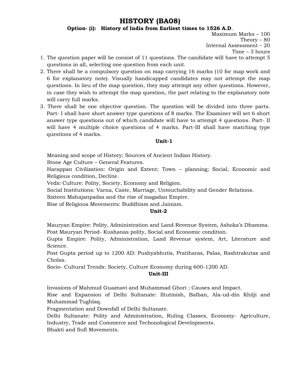## **HISTORY (BA08)**

**Option- (i): History of India from Earliest times to 1526 A.D**.

Maximum Marks – 100 Theory  $-80$ Internal Assessment – 20 Time – 3 hours

- 1. The question paper will be consist of 11 questions. The candidate will have to attempt 5 questions in all, selecting one question from each unit.
- 2. There shall be a compulsory question on map carrying 16 marks (10 for map work and 6 for explanatory note). Visually handicapped candidates may not attempt the map questions. In lieu of the map question, they may attempt any other questions. However, in case they wish to attempt the map question, the part relating to the explanatory note will carry full marks.
- 3. There shall be one objective question. The question will be divided into three parts. Part- I shall have short answer type questions of 8 marks. The Examiner will set 6 short answer type questions out of which candidate will have to attempt 4 questions. Part- II will have 4 multiple choice questions of 4 marks. Part-III shall have matching type questions of 4 marks.

#### **Unit-1**

Meaning and scope of History; Sources of Ancient Indian History.

Stone Age Culture – General Features.

Harappan Civilization: Origin and Extent; Town – planning; Social, Economic and Religious condition, Decline.

Vedic Culture: Polity, Society, Economy and Religion.

Social Institutions: Varna, Caste, Marriage, Untouchability and Gender Relations.

Sixteen Mahajanpadas and the rise of magadan Empire.

Rise of Religious Movements: Buddhism and Jainism.

#### **Unit-2**

Mauryan Empire: Polity, Administration and Land Revenue System, Ashoka"s Dhamma. Post Mauryan Period- Kushanas polity, Social and Economic condition.

Gupta Empire: Polity, Administration, Land Revenue system, Art, Literature and Science.

Post Gupta period up to 1200 AD: Pushyabhutis, Pratiharas, Palas, Rashtrakutas and Cholas.

Socio- Cultural Trends: Society, Culture Economy during 600-1200 AD.

**Unit-III**

Invasions of Mahmud Guaznavi and Muhammad Ghori ; Causes and Impact.

Rise and Expansion of Delhi Sultanate: Iltutmish, Balban, Ala-ud-din Khilji and Muhammad Tughlaq.

Fragmentation and Downfall of Delhi Sultanate.

Delhi Sultanate: Polity and Administration, Ruling Classes, Economy- Agriculture, Industry, Trade and Commerce and Techonological Developments.

Bhakti and Sufi Movements.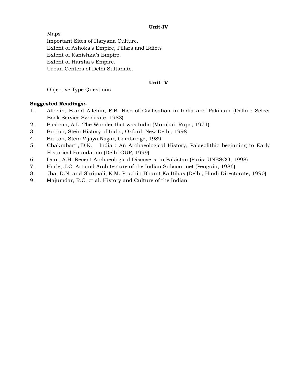#### **Unit-IV**

Maps Important Sites of Haryana Culture. Extent of Ashoka"s Empire, Pillars and Edicts Extent of Kanishka"s Empire. Extent of Harsha's Empire. Urban Centers of Delhi Sultanate.

#### **Unit- V**

#### Objective Type Questions

#### **Suggested Readings:-**

- 1. Allchin, B.and Allchin, F.R. Rise of Civilisation in India and Pakistan (Delhi : Select Book Service Syndicate, 1983)
- 2. Basham, A.L. The Wonder that was India (Mumbai, Rupa, 1971)
- 3. Burton, Stein History of India, Oxford, New Delhi, 1998
- 4. Burton, Stein Vijaya Nagar, Cambridge, 1989
- 5. Chakrabarti, D.K. India : An Archaeological History, Palaeolithic beginning to Early Historical Foundation (Delhi OUP, 1999)
- 6. Dani, A.H. Recent Archaeological Discovers in Pakistan (Paris, UNESCO, 1998)
- 7. Harle, J.C. Art and Architecture of the Indian Subcontinet (Penguin, 1986)
- 8. Jha, D.N. and Shrimali, K.M. Prachin Bharat Ka Itihas (Delhi, Hindi Directorate, 1990)
- 9. Majumdar, R.C. ct al. History and Culture of the Indian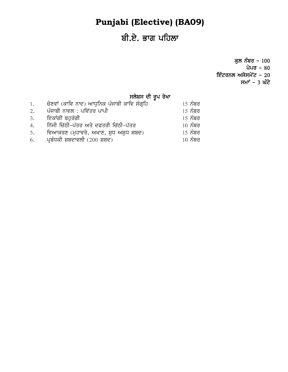# **Punjabi (Elective) (BA09)**

# ਬੀ.ਏ. ਭਾਗ ਪਹਿਲਾ

ਕੁਲ ਨੰਬਰ –  $100$ ਪੇਪਰ –  $80$ ਇੰਟਰਨਲ ਅਸੇਸਮੇਂ $\bar{c}$  - 20 ਸਮਾ<sup>÷</sup> – 3 ਘੰਟੇ

# ਸਲੇਬਸ ਦੀ ਰੂਪ ਰੇਖਾ

| 1. | ਚੋਣਵਾਂ (ਕਾਵਿ ਨਾਦ) ਆਧੁਨਿਕ ਪੰਜਾਬੀ ਕਾਵਿ ਸੰਗਹਿ | <u>15 ਨੰਬਰ</u> |
|----|--------------------------------------------|----------------|
| 2. | ਪੰਜਾਬੀ ਨਾਵਲ : ਪਵਿੱਤਰ ਪਾਪੀ                  | <u>15 ਨੰਬਰ</u> |
| 3. | ਇਕਾਂਗੀ ਬਹਰੰਗੀ                              | <u>15 ਨੰਬਰ</u> |
| 4. | ਨਿੱਜੀ ਚਿੱਠੀ-ਪੱਤਰ ਅਤੇ ਦਫਤਰੀ ਚਿੱਠੀ-ਪੱਤਰ      | $10\,$ ਨੰਬਰ    |
| 5. | ਵਿਆਕਰਣ (ਮੁਹਾਵਰੇ, ਅਖਾਣ, ਸ਼ੁਧ ਅਸ਼ੁਧ ਸ਼ਬਦ)    | <u>15 ਨੰਬਰ</u> |
| 6. | ਪ੍ਰਬੰਧਕੀ ਸ਼ਬਦਾਵਲੀ (200 ਸ਼ਬਦ)               | $10\,$ ਨੰਬਰ    |
|    |                                            |                |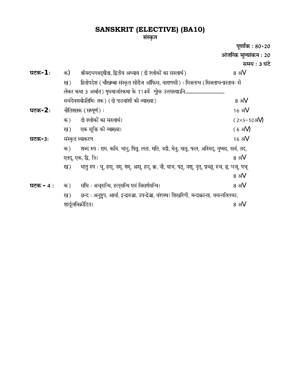# **SANSKRIT (ELECTIVE) (BA10)**

#### संस्कृत

पूर्णांक : 80+20 आंतरिक मूल्यांकन : 20 समय : 3 घंटे **घटक**-1 : क) श्रीमदभगवद्गीता, द्वितीय अध्याय ( दो श्लोकों का सरलार्थ ) 8 अं $\lor$ हितोपदेश (चौखम्बा संस्कृत सीरीज ऑफिस, वाराणसी) : मित्रलाभ (मित्रलाभ-प्रस्तावः से ख) लेकर कथा 3 अर्थात) गृधमार्जारकथा के 114वें श्रोक उत्तमस्याऽनि.............................. सर्वदेवमयोऽतिथिः तक) (दो पाठयांशों की व्याख्या) 8 अं $V$ **-2** V दो श्लोकों का सरलार्थ।  $(2\times5=103\text{V})$ क) एक सूक्ति की व्याख्या।  $(63\bar{V})$ ख) **-** V क) एतद्, एक, द्वि, त्रि। 8 ॲ∀ धातु रुप : भू, हस्, नम्, गम्, अस्, हन्, क्र, नी, याच, पठ्, नश्, नृत्, प्रच्छ्, रुच, ह्र, भज्, पच् ख) 8 अं $\vee$ **-** V छन्द : अनुष्टुप, आर्या, इन्द्रवज्रा, उपन्द्रेज्रा, वंशस्थ। शिखरिणी, मन्दाक्रान्ता, वसन्ततिलका, ख) शार्दूलविक्रीडित। 8 अं∀